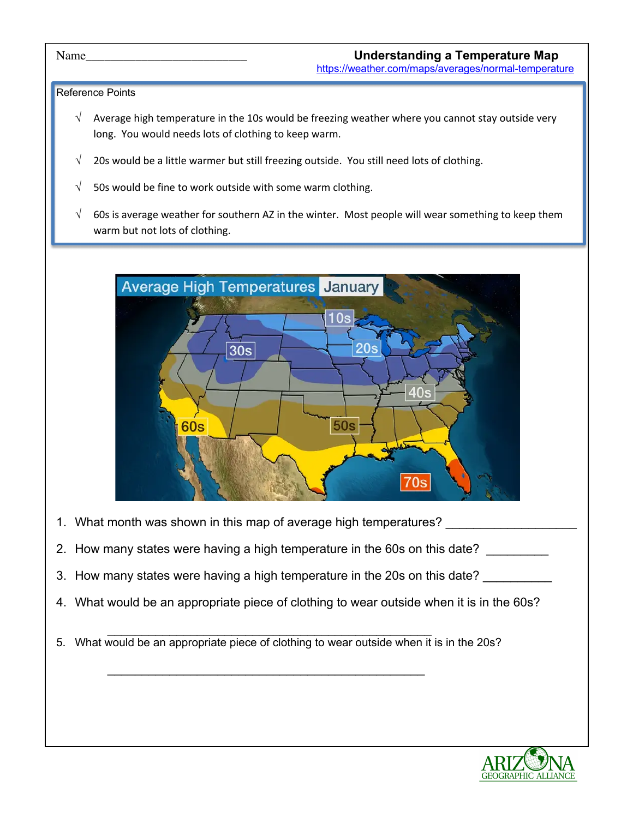## Reference Points

- $\sqrt{ }$  Average high temperature in the 10s would be freezing weather where you cannot stay outside very long. You would needs lots of clothing to keep warm.
- $\sqrt{ }$  20s would be a little warmer but still freezing outside. You still need lots of clothing.
- $\sqrt{ }$  50s would be fine to work outside with some warm clothing.
- $\sqrt{ }$  60s is average weather for southern AZ in the winter. Most people will wear something to keep them warm but not lots of clothing.



- 1. What month was shown in this map of average high temperatures?
- 2. How many states were having a high temperature in the 60s on this date?
- 3. How many states were having a high temperature in the 20s on this date?
- 4. What would be an appropriate piece of clothing to wear outside when it is in the 60s?
- $\mathcal{L}_\text{max}$  , and the contract of the contract of the contract of the contract of the contract of the contract of the contract of the contract of the contract of the contract of the contract of the contract of the contr 5. What would be an appropriate piece of clothing to wear outside when it is in the 20s?

\_\_\_\_\_\_\_\_\_\_\_\_\_\_\_\_\_\_\_\_\_\_\_\_\_\_\_\_\_\_\_\_\_\_\_\_\_\_\_\_\_\_\_\_\_\_

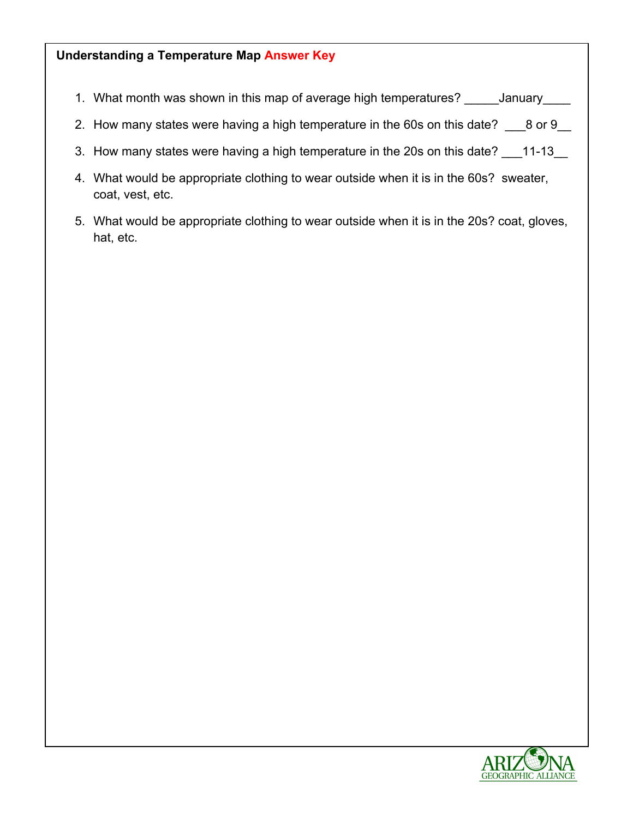## **Understanding a Temperature Map Answer Key**

- 1. What month was shown in this map of average high temperatures? \_\_\_\_\_January\_\_\_\_
- 2. How many states were having a high temperature in the 60s on this date? \_\_\_8 or 9\_\_
- 3. How many states were having a high temperature in the 20s on this date? \_\_\_11-13\_\_
- 4. What would be appropriate clothing to wear outside when it is in the 60s? sweater, coat, vest, etc.
- 5. What would be appropriate clothing to wear outside when it is in the 20s? coat, gloves, hat, etc.